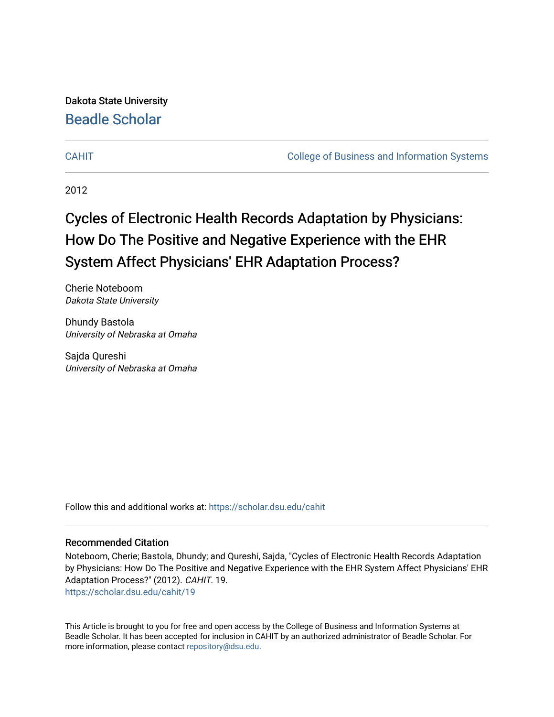Dakota State University [Beadle Scholar](https://scholar.dsu.edu/)

[CAHIT](https://scholar.dsu.edu/cahit) [College of Business and Information Systems](https://scholar.dsu.edu/biscollege) 

2012

# Cycles of Electronic Health Records Adaptation by Physicians: How Do The Positive and Negative Experience with the EHR System Affect Physicians' EHR Adaptation Process?

Cherie Noteboom Dakota State University

Dhundy Bastola University of Nebraska at Omaha

Sajda Qureshi University of Nebraska at Omaha

Follow this and additional works at: [https://scholar.dsu.edu/cahit](https://scholar.dsu.edu/cahit?utm_source=scholar.dsu.edu%2Fcahit%2F19&utm_medium=PDF&utm_campaign=PDFCoverPages) 

# Recommended Citation

Noteboom, Cherie; Bastola, Dhundy; and Qureshi, Sajda, "Cycles of Electronic Health Records Adaptation by Physicians: How Do The Positive and Negative Experience with the EHR System Affect Physicians' EHR Adaptation Process?" (2012). CAHIT. 19. [https://scholar.dsu.edu/cahit/19](https://scholar.dsu.edu/cahit/19?utm_source=scholar.dsu.edu%2Fcahit%2F19&utm_medium=PDF&utm_campaign=PDFCoverPages) 

This Article is brought to you for free and open access by the College of Business and Information Systems at Beadle Scholar. It has been accepted for inclusion in CAHIT by an authorized administrator of Beadle Scholar. For more information, please contact [repository@dsu.edu.](mailto:repository@dsu.edu)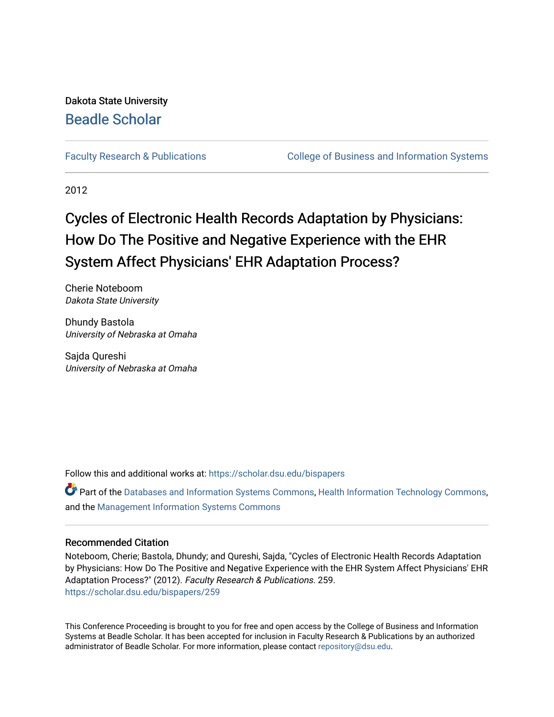# Dakota State University [Beadle Scholar](https://scholar.dsu.edu/)

[Faculty Research & Publications](https://scholar.dsu.edu/bispapers) **College of Business and Information Systems** 

2012

# Cycles of Electronic Health Records Adaptation by Physicians: How Do The Positive and Negative Experience with the EHR System Affect Physicians' EHR Adaptation Process?

Cherie Noteboom Dakota State University

Dhundy Bastola University of Nebraska at Omaha

Sajda Qureshi University of Nebraska at Omaha

Follow this and additional works at: [https://scholar.dsu.edu/bispapers](https://scholar.dsu.edu/bispapers?utm_source=scholar.dsu.edu%2Fbispapers%2F259&utm_medium=PDF&utm_campaign=PDFCoverPages)

Part of the [Databases and Information Systems Commons](http://network.bepress.com/hgg/discipline/145?utm_source=scholar.dsu.edu%2Fbispapers%2F259&utm_medium=PDF&utm_campaign=PDFCoverPages), [Health Information Technology Commons,](http://network.bepress.com/hgg/discipline/1239?utm_source=scholar.dsu.edu%2Fbispapers%2F259&utm_medium=PDF&utm_campaign=PDFCoverPages) and the [Management Information Systems Commons](http://network.bepress.com/hgg/discipline/636?utm_source=scholar.dsu.edu%2Fbispapers%2F259&utm_medium=PDF&utm_campaign=PDFCoverPages)

# Recommended Citation

Noteboom, Cherie; Bastola, Dhundy; and Qureshi, Sajda, "Cycles of Electronic Health Records Adaptation by Physicians: How Do The Positive and Negative Experience with the EHR System Affect Physicians' EHR Adaptation Process?" (2012). Faculty Research & Publications. 259. [https://scholar.dsu.edu/bispapers/259](https://scholar.dsu.edu/bispapers/259?utm_source=scholar.dsu.edu%2Fbispapers%2F259&utm_medium=PDF&utm_campaign=PDFCoverPages)

This Conference Proceeding is brought to you for free and open access by the College of Business and Information Systems at Beadle Scholar. It has been accepted for inclusion in Faculty Research & Publications by an authorized administrator of Beadle Scholar. For more information, please contact [repository@dsu.edu.](mailto:repository@dsu.edu)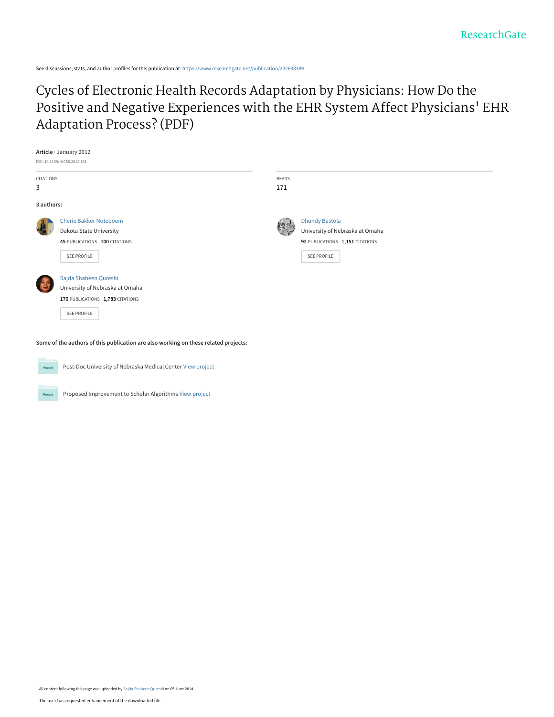See discussions, stats, and author profiles for this publication at: [https://www.researchgate.net/publication/232638389](https://www.researchgate.net/publication/232638389_Cycles_of_Electronic_Health_Records_Adaptation_by_Physicians_How_Do_the_Positive_and_Negative_Experiences_with_the_EHR_System_Affect_Physicians%27_EHR_Adaptation_Process_PDF?enrichId=rgreq-e2a4e56c895cf5915a568aed052e3971-XXX&enrichSource=Y292ZXJQYWdlOzIzMjYzODM4OTtBUzoxMDQ3OTQ1MDA4OTQ3MjhAMTQwMTk5NjM2NTc1OQ%3D%3D&el=1_x_2&_esc=publicationCoverPdf)

[Cycles of Electronic Health Records Adaptation by Physicians: How Do the](https://www.researchgate.net/publication/232638389_Cycles_of_Electronic_Health_Records_Adaptation_by_Physicians_How_Do_the_Positive_and_Negative_Experiences_with_the_EHR_System_Affect_Physicians%27_EHR_Adaptation_Process_PDF?enrichId=rgreq-e2a4e56c895cf5915a568aed052e3971-XXX&enrichSource=Y292ZXJQYWdlOzIzMjYzODM4OTtBUzoxMDQ3OTQ1MDA4OTQ3MjhAMTQwMTk5NjM2NTc1OQ%3D%3D&el=1_x_3&_esc=publicationCoverPdf) Positive and Negative Experiences with the EHR System Affect Physicians' EHR Adaptation Process? (PDF)

| <b>CITATIONS</b> |                                  |     | READS                           |  |  |
|------------------|----------------------------------|-----|---------------------------------|--|--|
| 3                |                                  | 171 |                                 |  |  |
| 3 authors:       |                                  |     |                                 |  |  |
|                  | <b>Cherie Bakker Noteboom</b>    |     | <b>Dhundy Bastola</b>           |  |  |
|                  | Dakota State University          |     | University of Nebraska at Omaha |  |  |
|                  | 45 PUBLICATIONS 100 CITATIONS    |     | 92 PUBLICATIONS 1,151 CITATIONS |  |  |
|                  | SEE PROFILE                      |     | <b>SEE PROFILE</b>              |  |  |
|                  | Sajda Shaheen Qureshi            |     |                                 |  |  |
|                  | University of Nebraska at Omaha  |     |                                 |  |  |
|                  | 176 PUBLICATIONS 1,783 CITATIONS |     |                                 |  |  |
|                  | SEE PROFILE                      |     |                                 |  |  |

authors of this publication are also working on these related projec



Post-Doc University of Nebraska Medical Center [View project](https://www.researchgate.net/project/Post-Doc-University-of-Nebraska-Medical-Center?enrichId=rgreq-e2a4e56c895cf5915a568aed052e3971-XXX&enrichSource=Y292ZXJQYWdlOzIzMjYzODM4OTtBUzoxMDQ3OTQ1MDA4OTQ3MjhAMTQwMTk5NjM2NTc1OQ%3D%3D&el=1_x_9&_esc=publicationCoverPdf)

Proposed Improvement to Scholar Algorithms [View project](https://www.researchgate.net/project/Proposed-Improvement-to-Scholar-Algorithms?enrichId=rgreq-e2a4e56c895cf5915a568aed052e3971-XXX&enrichSource=Y292ZXJQYWdlOzIzMjYzODM4OTtBUzoxMDQ3OTQ1MDA4OTQ3MjhAMTQwMTk5NjM2NTc1OQ%3D%3D&el=1_x_9&_esc=publicationCoverPdf)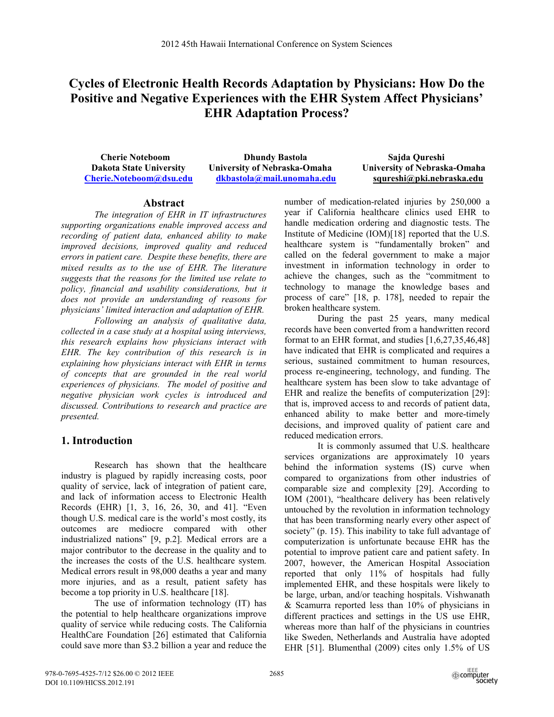# **Cycles of Electronic Health Records Adaptation by Physicians: How Do the Positive and Negative Experiences with the EHR System Affect Physicians' EHR Adaptation Process?**

 **Cherie Noteboom Dhundy Bastola Sajda Qureshi Dakota State University University of Nebraska-Omaha University of Nebraska-Omaha Cherie.Noteboom@dsu.edu dkbastola@mail.unomaha.edu squreshi@pki.nebraska.edu**

## **Abstract**

*The integration of EHR in IT infrastructures supporting organizations enable improved access and recording of patient data, enhanced ability to make improved decisions, improved quality and reduced errors in patient care. Despite these benefits, there are mixed results as to the use of EHR. The literature suggests that the reasons for the limited use relate to policy, financial and usability considerations, but it does not provide an understanding of reasons for physicians' limited interaction and adaptation of EHR.* 

*Following an analysis of qualitative data, collected in a case study at a hospital using interviews, this research explains how physicians interact with EHR. The key contribution of this research is in explaining how physicians interact with EHR in terms of concepts that are grounded in the real world experiences of physicians. The model of positive and negative physician work cycles is introduced and discussed. Contributions to research and practice are presented.*

# **1. Introduction**

Research has shown that the healthcare industry is plagued by rapidly increasing costs, poor quality of service, lack of integration of patient care, and lack of information access to Electronic Health Records (EHR) [1, 3, 16, 26, 30, and 41]. "Even though U.S. medical care is the world's most costly, its outcomes are mediocre compared with other industrialized nations" [9, p.2]. Medical errors are a major contributor to the decrease in the quality and to the increases the costs of the U.S. healthcare system. Medical errors result in 98,000 deaths a year and many more injuries, and as a result, patient safety has become a top priority in U.S. healthcare [18].

The use of information technology (IT) has the potential to help healthcare organizations improve quality of service while reducing costs. The California HealthCare Foundation [26] estimated that California could save more than \$3.2 billion a year and reduce the number of medication-related injuries by 250,000 a year if California healthcare clinics used EHR to handle medication ordering and diagnostic tests. The Institute of Medicine (IOM)[18] reported that the U.S. healthcare system is "fundamentally broken" and called on the federal government to make a major investment in information technology in order to achieve the changes, such as the "commitment to technology to manage the knowledge bases and process of care" [18, p. 178], needed to repair the broken healthcare system.

During the past 25 years, many medical records have been converted from a handwritten record format to an EHR format, and studies [1,6,27,35,46,48] have indicated that EHR is complicated and requires a serious, sustained commitment to human resources, process re-engineering, technology, and funding. The healthcare system has been slow to take advantage of EHR and realize the benefits of computerization [29]: that is, improved access to and records of patient data, enhanced ability to make better and more-timely decisions, and improved quality of patient care and reduced medication errors.

It is commonly assumed that U.S. healthcare services organizations are approximately 10 years behind the information systems (IS) curve when compared to organizations from other industries of comparable size and complexity [29]. According to IOM (2001), "healthcare delivery has been relatively untouched by the revolution in information technology that has been transforming nearly every other aspect of society" (p. 15). This inability to take full advantage of computerization is unfortunate because EHR has the potential to improve patient care and patient safety. In 2007, however, the American Hospital Association reported that only 11% of hospitals had fully implemented EHR, and these hospitals were likely to be large, urban, and/or teaching hospitals. Vishwanath & Scamurra reported less than 10% of physicians in different practices and settings in the US use EHR, whereas more than half of the physicians in countries like Sweden, Netherlands and Australia have adopted EHR [51]. Blumenthal (2009) cites only 1.5% of US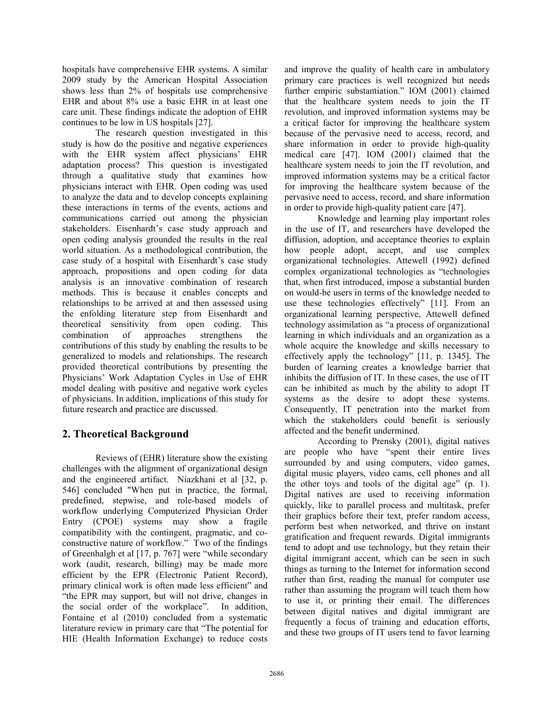hospitals have comprehensive EHR systems. A similar 2009 study by the American Hospital Association shows less than 2% of hospitals use comprehensive EHR and about 8% use a basic EHR in at least one care unit. These findings indicate the adoption of EHR continues to be low in US hospitals [27].

The research question investigated in this study is how do the positive and negative experiences with the EHR system affect physicians' EHR adaptation process? This question is investigated through a qualitative study that examines how physicians interact with EHR. Open coding was used to analyze the data and to develop concepts explaining these interactions in terms of the events, actions and communications carried out among the physician stakeholders. Eisenhardt's case study approach and open coding analysis grounded the results in the real world situation. As a methodological contribution, the case study of a hospital with Eisenhardt's case study approach, propositions and open coding for data analysis is an innovative combination of research methods. This is because it enables concepts and relationships to be arrived at and then assessed using the enfolding literature step from Eisenhardt and theoretical sensitivity from open coding. This combination of approaches strengthens the contributions of this study by enabling the results to be generalized to models and relationships. The research provided theoretical contributions by presenting the Physicians' Work Adaptation Cycles in Use of EHR model dealing with positive and negative work cycles of physicians. In addition, implications of this study for future research and practice are discussed.

# **2. Theoretical Background**

Reviews of (EHR) literature show the existing challenges with the alignment of organizational design and the engineered artifact. Niazkhani et al [32, p. 546] concluded "When put in practice, the formal, predefined, stepwise, and role-based models of workflow underlying Computerized Physician Order Entry (CPOE) systems may show a fragile compatibility with the contingent, pragmatic, and coconstructive nature of workflow." Two of the findings of Greenhalgh et al [17, p. 767] were "while secondary work (audit, research, billing) may be made more efficient by the EPR (Electronic Patient Record), primary clinical work is often made less efficient" and "the EPR may support, but will not drive, changes in the social order of the workplace". In addition, Fontaine et al (2010) concluded from a systematic literature review in primary care that "The potential for HIE (Health Information Exchange) to reduce costs and improve the quality of health care in ambulatory primary care practices is well recognized but needs further empiric substantiation." IOM (2001) claimed that the healthcare system needs to join the IT revolution, and improved information systems may be a critical factor for improving the healthcare system because of the pervasive need to access, record, and share information in order to provide high-quality medical care [47]. IOM (2001) claimed that the healthcare system needs to join the IT revolution, and improved information systems may be a critical factor for improving the healthcare system because of the pervasive need to access, record, and share information in order to provide high-quality patient care [47].

Knowledge and learning play important roles in the use of IT, and researchers have developed the diffusion, adoption, and acceptance theories to explain how people adopt, accept, and use complex organizational technologies. Attewell (1992) defined complex organizational technologies as "technologies that, when first introduced, impose a substantial burden on would-be users in terms of the knowledge needed to use these technologies effectively" [11]. From an organizational learning perspective, Attewell defined technology assimilation as "a process of organizational learning in which individuals and an organization as a whole acquire the knowledge and skills necessary to effectively apply the technology" [11, p. 1345]. The burden of learning creates a knowledge barrier that inhibits the diffusion of IT. In these cases, the use of IT can be inhibited as much by the ability to adopt IT systems as the desire to adopt these systems. Consequently, IT penetration into the market from which the stakeholders could benefit is seriously affected and the benefit undermined.

According to Prensky (2001), digital natives are people who have "spent their entire lives surrounded by and using computers, video games, digital music players, video cams, cell phones and all the other toys and tools of the digital age" (p. 1). Digital natives are used to receiving information quickly, like to parallel process and multitask, prefer their graphics before their text, prefer random access, perform best when networked, and thrive on instant gratification and frequent rewards. Digital immigrants tend to adopt and use technology, but they retain their digital immigrant accent, which can be seen in such things as turning to the Internet for information second rather than first, reading the manual for computer use rather than assuming the program will teach them how to use it, or printing their email. The differences between digital natives and digital immigrant are frequently a focus of training and education efforts, and these two groups of IT users tend to favor learning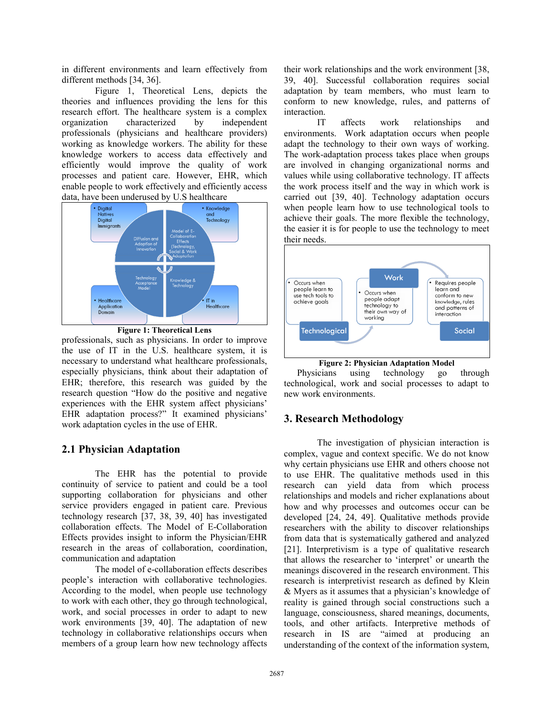in different environments and learn effectively from different methods [34, 36].

Figure 1, Theoretical Lens, depicts the theories and influences providing the lens for this research effort. The healthcare system is a complex organization characterized by independent professionals (physicians and healthcare providers) working as knowledge workers. The ability for these knowledge workers to access data effectively and efficiently would improve the quality of work processes and patient care. However, EHR, which enable people to work effectively and efficiently access data, have been underused by U.S healthcare



**Figure 1: Theoretical Lens** 

professionals, such as physicians. In order to improve the use of IT in the U.S. healthcare system, it is necessary to understand what healthcare professionals, especially physicians, think about their adaptation of EHR; therefore, this research was guided by the research question "How do the positive and negative experiences with the EHR system affect physicians' EHR adaptation process?" It examined physicians' work adaptation cycles in the use of EHR.

# **2.1 Physician Adaptation**

The EHR has the potential to provide continuity of service to patient and could be a tool supporting collaboration for physicians and other service providers engaged in patient care. Previous technology research [37, 38, 39, 40] has investigated collaboration effects. The Model of E-Collaboration Effects provides insight to inform the Physician/EHR research in the areas of collaboration, coordination, communication and adaptation

The model of e-collaboration effects describes people's interaction with collaborative technologies. According to the model, when people use technology to work with each other, they go through technological, work, and social processes in order to adapt to new work environments [39, 40]. The adaptation of new technology in collaborative relationships occurs when members of a group learn how new technology affects

their work relationships and the work environment [38, 39, 40]. Successful collaboration requires social adaptation by team members, who must learn to conform to new knowledge, rules, and patterns of interaction.

IT affects work relationships and environments. Work adaptation occurs when people adapt the technology to their own ways of working. The work-adaptation process takes place when groups are involved in changing organizational norms and values while using collaborative technology. IT affects the work process itself and the way in which work is carried out [39, 40]. Technology adaptation occurs when people learn how to use technological tools to achieve their goals. The more flexible the technology, the easier it is for people to use the technology to meet their needs.



Physicians using technology go through technological, work and social processes to adapt to new work environments.

# **3. Research Methodology**

The investigation of physician interaction is complex, vague and context specific. We do not know why certain physicians use EHR and others choose not to use EHR. The qualitative methods used in this research can yield data from which process relationships and models and richer explanations about how and why processes and outcomes occur can be developed [24, 24, 49]. Qualitative methods provide researchers with the ability to discover relationships from data that is systematically gathered and analyzed [21]. Interpretivism is a type of qualitative research that allows the researcher to 'interpret' or unearth the meanings discovered in the research environment. This research is interpretivist research as defined by Klein & Myers as it assumes that a physician's knowledge of reality is gained through social constructions such a language, consciousness, shared meanings, documents, tools, and other artifacts. Interpretive methods of research in IS are "aimed at producing an understanding of the context of the information system,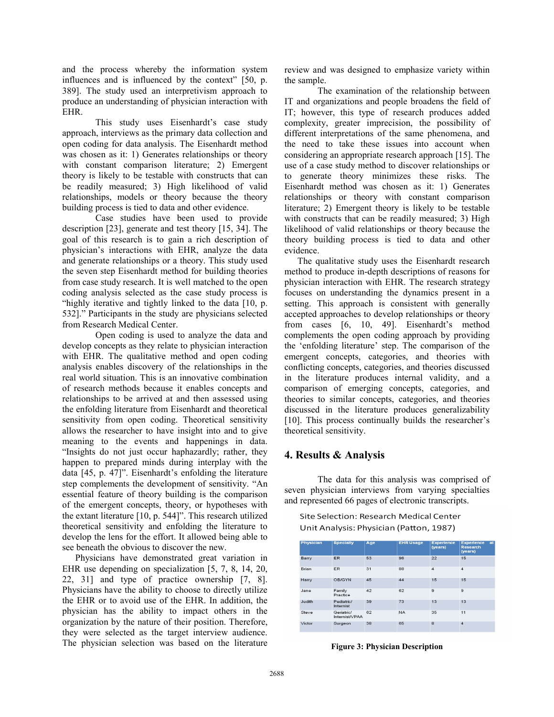and the process whereby the information system influences and is influenced by the context" [50, p. 389]. The study used an interpretivism approach to produce an understanding of physician interaction with EHR.

This study uses Eisenhardt's case study approach, interviews as the primary data collection and open coding for data analysis. The Eisenhardt method was chosen as it: 1) Generates relationships or theory with constant comparison literature; 2) Emergent theory is likely to be testable with constructs that can be readily measured; 3) High likelihood of valid relationships, models or theory because the theory building process is tied to data and other evidence.

Case studies have been used to provide description [23], generate and test theory [15, 34]. The goal of this research is to gain a rich description of physician's interactions with EHR, analyze the data and generate relationships or a theory. This study used the seven step Eisenhardt method for building theories from case study research. It is well matched to the open coding analysis selected as the case study process is "highly iterative and tightly linked to the data [10, p. 532]." Participants in the study are physicians selected from Research Medical Center.

Open coding is used to analyze the data and develop concepts as they relate to physician interaction with EHR. The qualitative method and open coding analysis enables discovery of the relationships in the real world situation. This is an innovative combination of research methods because it enables concepts and relationships to be arrived at and then assessed using the enfolding literature from Eisenhardt and theoretical sensitivity from open coding. Theoretical sensitivity allows the researcher to have insight into and to give meaning to the events and happenings in data. "Insights do not just occur haphazardly; rather, they happen to prepared minds during interplay with the data [45, p. 47]". Eisenhardt's enfolding the literature step complements the development of sensitivity. "An essential feature of theory building is the comparison of the emergent concepts, theory, or hypotheses with the extant literature [10, p. 544]". This research utilized theoretical sensitivity and enfolding the literature to develop the lens for the effort. It allowed being able to see beneath the obvious to discover the new.

Physicians have demonstrated great variation in EHR use depending on specialization [5, 7, 8, 14, 20, 22, 31] and type of practice ownership [7, 8]. Physicians have the ability to choose to directly utilize the EHR or to avoid use of the EHR. In addition, the physician has the ability to impact others in the organization by the nature of their position. Therefore, they were selected as the target interview audience. The physician selection was based on the literature review and was designed to emphasize variety within the sample.

The examination of the relationship between IT and organizations and people broadens the field of IT; however, this type of research produces added complexity, greater imprecision, the possibility of different interpretations of the same phenomena, and the need to take these issues into account when considering an appropriate research approach [15]. The use of a case study method to discover relationships or to generate theory minimizes these risks. The Eisenhardt method was chosen as it: 1) Generates relationships or theory with constant comparison literature; 2) Emergent theory is likely to be testable with constructs that can be readily measured; 3) High likelihood of valid relationships or theory because the theory building process is tied to data and other evidence.

The qualitative study uses the Eisenhardt research method to produce in-depth descriptions of reasons for physician interaction with EHR. The research strategy focuses on understanding the dynamics present in a setting. This approach is consistent with generally accepted approaches to develop relationships or theory from cases [6, 10, 49]. Eisenhardt's method complements the open coding approach by providing the 'enfolding literature' step. The comparison of the emergent concepts, categories, and theories with conflicting concepts, categories, and theories discussed in the literature produces internal validity, and a comparison of emerging concepts, categories, and theories to similar concepts, categories, and theories discussed in the literature produces generalizability [10]. This process continually builds the researcher's theoretical sensitivity.

# **4. Results & Analysis**

The data for this analysis was comprised of seven physician interviews from varying specialties and represented 66 pages of electronic transcripts.

Site Selection: Research Medical Center Unit Analysis: Physician (Patton, 1987)

| Physician | <b>Specialty</b>             | Age | <b>EHR Usage</b> | <b>Experience</b><br>(years) | at<br><b>Experience</b><br><b>Research</b><br>(years) |
|-----------|------------------------------|-----|------------------|------------------------------|-------------------------------------------------------|
| Barry     | <b>ER</b>                    | 53  | 96               | 22                           | 15                                                    |
| Brian     | ER                           | 31  | 88               | $\overline{4}$               | $\overline{\mathbf{4}}$                               |
| Harry     | OB/GYN                       | 45  | 44               | 15                           | 15                                                    |
| Jane      | Family<br>Practice           | 42  | 62               | 9                            | 9                                                     |
| Judith    | Pediatric/<br>Internist      | 39  | 73               | 13                           | 13                                                    |
| Steve     | Geriatric/<br>Internist/VPAA | 62  | <b>NA</b>        | 35                           | 11                                                    |
| Victor    | Surgeon                      | 38  | 65               | 8                            | $\overline{4}$                                        |

**Figure 3: Physician Description**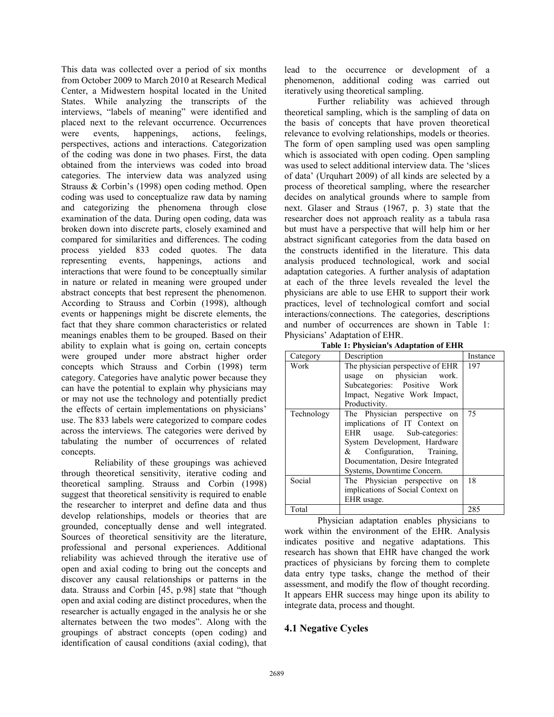This data was collected over a period of six months from October 2009 to March 2010 at Research Medical Center, a Midwestern hospital located in the United States. While analyzing the transcripts of the interviews, "labels of meaning" were identified and placed next to the relevant occurrence. Occurrences were events, happenings, actions, feelings, perspectives, actions and interactions. Categorization of the coding was done in two phases. First, the data obtained from the interviews was coded into broad categories. The interview data was analyzed using Strauss & Corbin's (1998) open coding method. Open coding was used to conceptualize raw data by naming and categorizing the phenomena through close examination of the data. During open coding, data was broken down into discrete parts, closely examined and compared for similarities and differences. The coding process yielded 833 coded quotes. The data representing events, happenings, actions and interactions that were found to be conceptually similar in nature or related in meaning were grouped under abstract concepts that best represent the phenomenon. According to Strauss and Corbin (1998), although events or happenings might be discrete elements, the fact that they share common characteristics or related meanings enables them to be grouped. Based on their ability to explain what is going on, certain concepts were grouped under more abstract higher order concepts which Strauss and Corbin (1998) term category. Categories have analytic power because they can have the potential to explain why physicians may or may not use the technology and potentially predict the effects of certain implementations on physicians' use. The 833 labels were categorized to compare codes across the interviews. The categories were derived by tabulating the number of occurrences of related concepts.

Reliability of these groupings was achieved through theoretical sensitivity, iterative coding and theoretical sampling. Strauss and Corbin (1998) suggest that theoretical sensitivity is required to enable the researcher to interpret and define data and thus develop relationships, models or theories that are grounded, conceptually dense and well integrated. Sources of theoretical sensitivity are the literature, professional and personal experiences. Additional reliability was achieved through the iterative use of open and axial coding to bring out the concepts and discover any causal relationships or patterns in the data. Strauss and Corbin [45, p.98] state that "though open and axial coding are distinct procedures, when the researcher is actually engaged in the analysis he or she alternates between the two modes". Along with the groupings of abstract concepts (open coding) and identification of causal conditions (axial coding), that

lead to the occurrence or development of a phenomenon, additional coding was carried out iteratively using theoretical sampling.

Further reliability was achieved through theoretical sampling, which is the sampling of data on the basis of concepts that have proven theoretical relevance to evolving relationships, models or theories. The form of open sampling used was open sampling which is associated with open coding. Open sampling was used to select additional interview data. The 'slices of data' (Urquhart 2009) of all kinds are selected by a process of theoretical sampling, where the researcher decides on analytical grounds where to sample from next. Glaser and Straus (1967, p. 3) state that the researcher does not approach reality as a tabula rasa but must have a perspective that will help him or her abstract significant categories from the data based on the constructs identified in the literature. This data analysis produced technological, work and social adaptation categories. A further analysis of adaptation at each of the three levels revealed the level the physicians are able to use EHR to support their work practices, level of technological comfort and social interactions/connections. The categories, descriptions and number of occurrences are shown in Table 1: Physicians' Adaptation of EHR.

|  |  | Table 1: Physician's Adaptation of EHR |  |
|--|--|----------------------------------------|--|
|--|--|----------------------------------------|--|

| Category   | Description                       | Instance |
|------------|-----------------------------------|----------|
| Work       | The physician perspective of EHR  | 197      |
|            | usage on physician work.          |          |
|            | Subcategories: Positive Work      |          |
|            | Impact, Negative Work Impact,     |          |
|            | Productivity.                     |          |
| Technology | The Physician perspective<br>on   | 75       |
|            | implications of IT Context on     |          |
|            | EHR usage. Sub-categories:        |          |
|            | System Development, Hardware      |          |
|            | Configuration, Training,<br>&     |          |
|            | Documentation, Desire Integrated  |          |
|            | Systems, Downtime Concern.        |          |
| Social     | The Physician perspective on      | 18       |
|            | implications of Social Context on |          |
|            | EHR usage.                        |          |
| Total      |                                   | 285      |

Physician adaptation enables physicians to work within the environment of the EHR. Analysis indicates positive and negative adaptations. This research has shown that EHR have changed the work practices of physicians by forcing them to complete data entry type tasks, change the method of their assessment, and modify the flow of thought recording. It appears EHR success may hinge upon its ability to integrate data, process and thought.

### **4.1 Negative Cycles**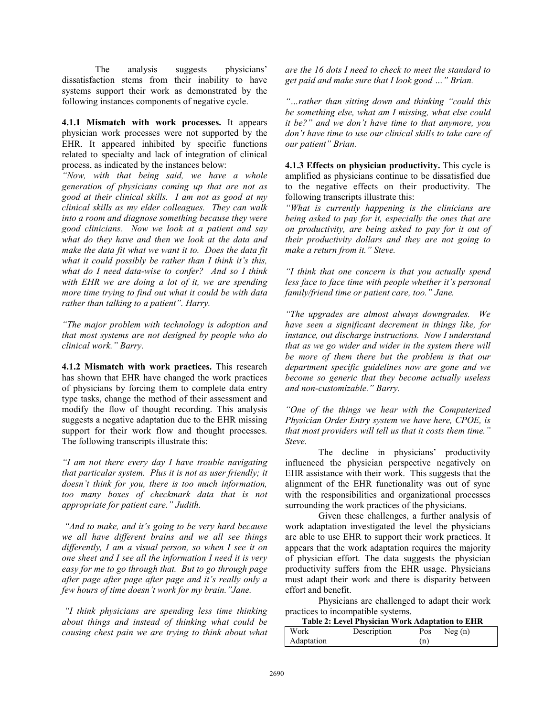The analysis suggests physicians' dissatisfaction stems from their inability to have systems support their work as demonstrated by the following instances components of negative cycle.

**4.1.1 Mismatch with work processes.** It appears physician work processes were not supported by the EHR. It appeared inhibited by specific functions related to specialty and lack of integration of clinical process, as indicated by the instances below:

*"Now, with that being said, we have a whole generation of physicians coming up that are not as good at their clinical skills. I am not as good at my clinical skills as my elder colleagues. They can walk into a room and diagnose something because they were good clinicians. Now we look at a patient and say what do they have and then we look at the data and make the data fit what we want it to. Does the data fit what it could possibly be rather than I think it's this, what do I need data-wise to confer? And so I think with EHR we are doing a lot of it, we are spending more time trying to find out what it could be with data rather than talking to a patient". Harry.* 

*"The major problem with technology is adoption and that most systems are not designed by people who do clinical work." Barry.* 

**4.1.2 Mismatch with work practices.** This research has shown that EHR have changed the work practices of physicians by forcing them to complete data entry type tasks, change the method of their assessment and modify the flow of thought recording. This analysis suggests a negative adaptation due to the EHR missing support for their work flow and thought processes. The following transcripts illustrate this:

*"I am not there every day I have trouble navigating that particular system. Plus it is not as user friendly; it doesn't think for you, there is too much information, too many boxes of checkmark data that is not appropriate for patient care." Judith.* 

 *"And to make, and it's going to be very hard because we all have different brains and we all see things differently, I am a visual person, so when I see it on one sheet and I see all the information I need it is very easy for me to go through that. But to go through page after page after page after page and it's really only a few hours of time doesn't work for my brain."Jane.* 

 *"I think physicians are spending less time thinking about things and instead of thinking what could be causing chest pain we are trying to think about what* 

*are the 16 dots I need to check to meet the standard to get paid and make sure that I look good …" Brian.* 

*"…rather than sitting down and thinking "could this be something else, what am I missing, what else could it be?" and we don't have time to that anymore, you don't have time to use our clinical skills to take care of our patient" Brian.* 

**4.1.3 Effects on physician productivity.** This cycle is amplified as physicians continue to be dissatisfied due to the negative effects on their productivity. The following transcripts illustrate this:

*"What is currently happening is the clinicians are being asked to pay for it, especially the ones that are on productivity, are being asked to pay for it out of their productivity dollars and they are not going to make a return from it." Steve.* 

*"I think that one concern is that you actually spend less face to face time with people whether it's personal family/friend time or patient care, too." Jane.* 

*"The upgrades are almost always downgrades. We have seen a significant decrement in things like, for instance, out discharge instructions. Now I understand that as we go wider and wider in the system there will be more of them there but the problem is that our department specific guidelines now are gone and we become so generic that they become actually useless and non-customizable." Barry.* 

*"One of the things we hear with the Computerized Physician Order Entry system we have here, CPOE, is that most providers will tell us that it costs them time." Steve.* 

The decline in physicians' productivity influenced the physician perspective negatively on EHR assistance with their work. This suggests that the alignment of the EHR functionality was out of sync with the responsibilities and organizational processes surrounding the work practices of the physicians.

Given these challenges, a further analysis of work adaptation investigated the level the physicians are able to use EHR to support their work practices. It appears that the work adaptation requires the majority of physician effort. The data suggests the physician productivity suffers from the EHR usage. Physicians must adapt their work and there is disparity between effort and benefit.

Physicians are challenged to adapt their work practices to incompatible systems.

|             | Table 2: Level Physician Work Adaptation to EHR |     |        |  |
|-------------|-------------------------------------------------|-----|--------|--|
| <b>Work</b> | Description                                     | Pos | Neg(n) |  |
| Adaptation  |                                                 | (n) |        |  |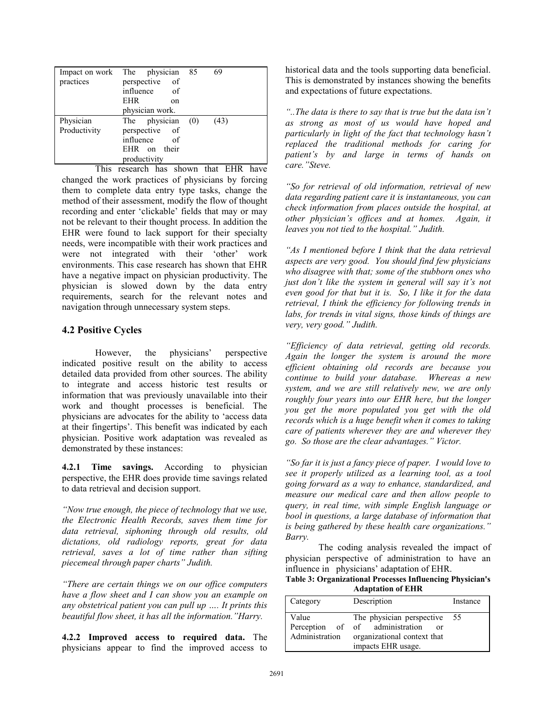| Impact on work | The physician 85     | 69   |
|----------------|----------------------|------|
| practices      | perspective<br>of    |      |
|                | influence<br>- of    |      |
|                | <b>EHR</b><br>on     |      |
|                | physician work.      |      |
| Physician      | physician (0)<br>The | (43) |
| Productivity   | perspective<br>of    |      |
|                | influence<br>of      |      |
|                | EHR on<br>their      |      |
|                | productivity         |      |

This research has shown that EHR have changed the work practices of physicians by forcing them to complete data entry type tasks, change the method of their assessment, modify the flow of thought recording and enter 'clickable' fields that may or may not be relevant to their thought process. In addition the EHR were found to lack support for their specialty needs, were incompatible with their work practices and were not integrated with their 'other' work environments. This case research has shown that EHR have a negative impact on physician productivity. The physician is slowed down by the data entry requirements, search for the relevant notes and navigation through unnecessary system steps.

## **4.2 Positive Cycles**

However, the physicians' perspective indicated positive result on the ability to access detailed data provided from other sources. The ability to integrate and access historic test results or information that was previously unavailable into their work and thought processes is beneficial. The physicians are advocates for the ability to 'access data at their fingertips'. This benefit was indicated by each physician. Positive work adaptation was revealed as demonstrated by these instances:

**4.2.1 Time savings.** According to physician perspective, the EHR does provide time savings related to data retrieval and decision support.

*"Now true enough, the piece of technology that we use, the Electronic Health Records, saves them time for data retrieval, siphoning through old results, old dictations, old radiology reports, great for data retrieval, saves a lot of time rather than sifting piecemeal through paper charts" Judith.* 

*"There are certain things we on our office computers have a flow sheet and I can show you an example on any obstetrical patient you can pull up …. It prints this beautiful flow sheet, it has all the information."Harry.* 

**4.2.2 Improved access to required data.** The physicians appear to find the improved access to historical data and the tools supporting data beneficial. This is demonstrated by instances showing the benefits and expectations of future expectations.

*"..The data is there to say that is true but the data isn't as strong as most of us would have hoped and particularly in light of the fact that technology hasn't replaced the traditional methods for caring for patient's by and large in terms of hands on care."Steve.* 

*"So for retrieval of old information, retrieval of new data regarding patient care it is instantaneous, you can check information from places outside the hospital, at other physician's offices and at homes. Again, it leaves you not tied to the hospital." Judith.* 

*"As I mentioned before I think that the data retrieval aspects are very good. You should find few physicians who disagree with that; some of the stubborn ones who just don't like the system in general will say it's not even good for that but it is. So, I like it for the data retrieval, I think the efficiency for following trends in labs, for trends in vital signs, those kinds of things are very, very good." Judith.*

*"Efficiency of data retrieval, getting old records. Again the longer the system is around the more efficient obtaining old records are because you continue to build your database. Whereas a new system, and we are still relatively new, we are only roughly four years into our EHR here, but the longer you get the more populated you get with the old records which is a huge benefit when it comes to taking care of patients wherever they are and wherever they go. So those are the clear advantages." Victor.* 

*"So far it is just a fancy piece of paper. I would love to see it properly utilized as a learning tool, as a tool going forward as a way to enhance, standardized, and measure our medical care and then allow people to query, in real time, with simple English language or bool in questions, a large database of information that is being gathered by these health care organizations." Barry.*

The coding analysis revealed the impact of physician perspective of administration to have an influence in physicians' adaptation of EHR.

**Table 3: Organizational Processes Influencing Physician's Adaptation of EHR**

| Category                | Description                                                                                                                     | Instance |
|-------------------------|---------------------------------------------------------------------------------------------------------------------------------|----------|
| Value<br>Administration | The physician perspective<br>Perception of of administration<br>$\alpha$ r<br>organizational context that<br>impacts EHR usage. | 55       |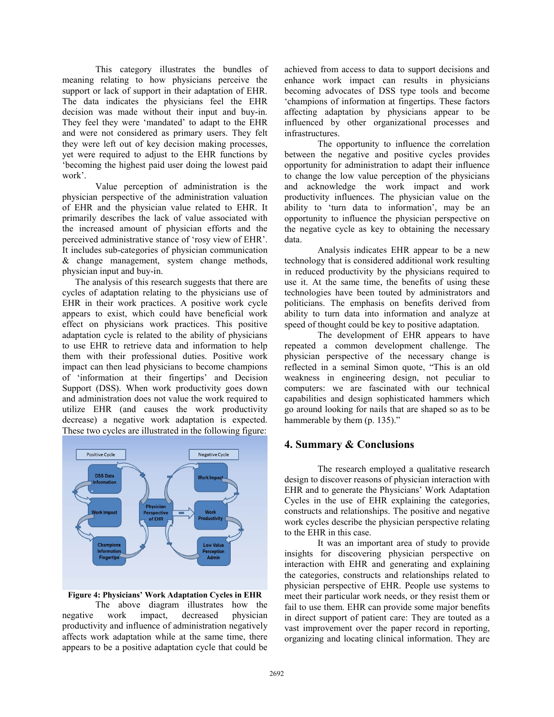This category illustrates the bundles of meaning relating to how physicians perceive the support or lack of support in their adaptation of EHR. The data indicates the physicians feel the EHR decision was made without their input and buy-in. They feel they were 'mandated' to adapt to the EHR and were not considered as primary users. They felt they were left out of key decision making processes, yet were required to adjust to the EHR functions by 'becoming the highest paid user doing the lowest paid work'.

Value perception of administration is the physician perspective of the administration valuation of EHR and the physician value related to EHR. It primarily describes the lack of value associated with the increased amount of physician efforts and the perceived administrative stance of 'rosy view of EHR'. It includes sub-categories of physician communication & change management, system change methods, physician input and buy-in.

The analysis of this research suggests that there are cycles of adaptation relating to the physicians use of EHR in their work practices. A positive work cycle appears to exist, which could have beneficial work effect on physicians work practices. This positive adaptation cycle is related to the ability of physicians to use EHR to retrieve data and information to help them with their professional duties. Positive work impact can then lead physicians to become champions of 'information at their fingertips' and Decision Support (DSS). When work productivity goes down and administration does not value the work required to utilize EHR (and causes the work productivity decrease) a negative work adaptation is expected. These two cycles are illustrated in the following figure:



**Figure 4: Physicians' Work Adaptation Cycles in EHR** 

The above diagram illustrates how the negative work impact, decreased physician productivity and influence of administration negatively affects work adaptation while at the same time, there appears to be a positive adaptation cycle that could be

achieved from access to data to support decisions and enhance work impact can results in physicians becoming advocates of DSS type tools and become 'champions of information at fingertips. These factors affecting adaptation by physicians appear to be influenced by other organizational processes and infrastructures.

The opportunity to influence the correlation between the negative and positive cycles provides opportunity for administration to adapt their influence to change the low value perception of the physicians and acknowledge the work impact and work productivity influences. The physician value on the ability to 'turn data to information', may be an opportunity to influence the physician perspective on the negative cycle as key to obtaining the necessary data.

Analysis indicates EHR appear to be a new technology that is considered additional work resulting in reduced productivity by the physicians required to use it. At the same time, the benefits of using these technologies have been touted by administrators and politicians. The emphasis on benefits derived from ability to turn data into information and analyze at speed of thought could be key to positive adaptation.

The development of EHR appears to have repeated a common development challenge. The physician perspective of the necessary change is reflected in a seminal Simon quote, "This is an old weakness in engineering design, not peculiar to computers: we are fascinated with our technical capabilities and design sophisticated hammers which go around looking for nails that are shaped so as to be hammerable by them (p. 135)."

### **4. Summary & Conclusions**

The research employed a qualitative research design to discover reasons of physician interaction with EHR and to generate the Physicians' Work Adaptation Cycles in the use of EHR explaining the categories, constructs and relationships. The positive and negative work cycles describe the physician perspective relating to the EHR in this case.

It was an important area of study to provide insights for discovering physician perspective on interaction with EHR and generating and explaining the categories, constructs and relationships related to physician perspective of EHR. People use systems to meet their particular work needs, or they resist them or fail to use them. EHR can provide some major benefits in direct support of patient care: They are touted as a vast improvement over the paper record in reporting, organizing and locating clinical information. They are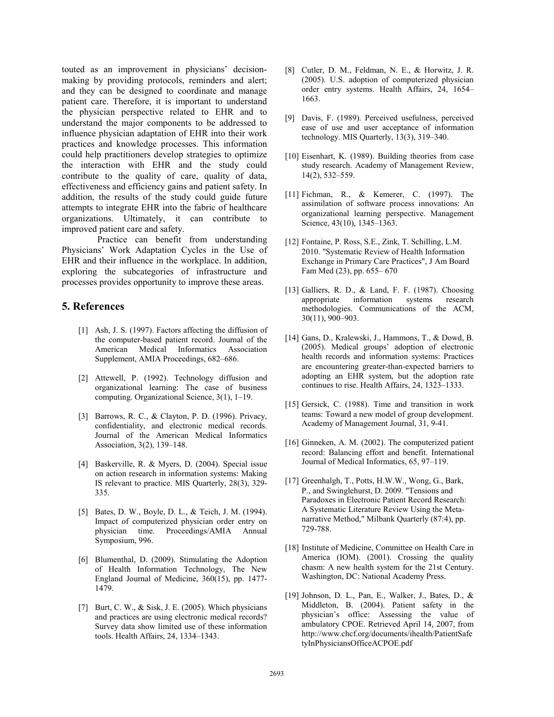touted as an improvement in physicians' decisionmaking by providing protocols, reminders and alert; and they can be designed to coordinate and manage patient care. Therefore, it is important to understand the physician perspective related to EHR and to understand the major components to be addressed to influence physician adaptation of EHR into their work practices and knowledge processes. This information could help practitioners develop strategies to optimize the interaction with EHR and the study could contribute to the quality of care, quality of data, effectiveness and efficiency gains and patient safety. In addition, the results of the study could guide future attempts to integrate EHR into the fabric of healthcare organizations. Ultimately, it can contribute to improved patient care and safety.

 Practice can benefit from understanding Physicians' Work Adaptation Cycles in the Use of EHR and their influence in the workplace. In addition, exploring the subcategories of infrastructure and processes provides opportunity to improve these areas.

# **5. References**

- [1] Ash, J. S. (1997). Factors affecting the diffusion of the computer-based patient record. Journal of the American Medical Informatics Association Supplement, AMIA Proceedings, 682–686.
- [2] Attewell, P. (1992). Technology diffusion and organizational learning: The case of business computing. Organizational Science, 3(1), 1–19.
- [3] Barrows, R. C., & Clayton, P. D. (1996). Privacy, confidentiality, and electronic medical records. Journal of the American Medical Informatics Association, 3(2), 139–148.
- [4] Baskerville, R. & Myers, D. (2004). Special issue on action research in information systems: Making IS relevant to practice. MIS Quarterly, 28(3), 329- 335.
- [5] Bates, D. W., Boyle, D. L., & Teich, J. M. (1994). Impact of computerized physician order entry on physician time. Proceedings/AMIA Annual Symposium, 996.
- [6] Blumenthal, D. (2009). Stimulating the Adoption of Health Information Technology, The New England Journal of Medicine, 360(15), pp. 1477- 1479.
- [7] Burt, C. W., & Sisk, J. E. (2005). Which physicians and practices are using electronic medical records? Survey data show limited use of these information tools. Health Affairs, 24, 1334–1343.
- [8] Cutler, D. M., Feldman, N. E., & Horwitz, J. R. (2005). U.S. adoption of computerized physician order entry systems. Health Affairs, 24, 1654– 1663.
- [9] Davis, F. (1989). Perceived usefulness, perceived ease of use and user acceptance of information technology. MIS Quarterly, 13(3), 319–340.
- [10] Eisenhart, K. (1989). Building theories from case study research. Academy of Management Review, 14(2), 532–559.
- [11] Fichman, R., & Kemerer, C. (1997). The assimilation of software process innovations: An organizational learning perspective. Management Science, 43(10), 1345–1363.
- [12] Fontaine, P. Ross, S.E., Zink, T. Schilling, L.M. 2010. "Systematic Review of Health Information Exchange in Primary Care Practices", J Am Board Fam Med (23), pp. 655– 670
- [13] Galliers, R. D., & Land, F. F. (1987). Choosing appropriate information systems research methodologies. Communications of the ACM, 30(11), 900–903.
- [14] Gans, D., Kralewski, J., Hammons, T., & Dowd, B. (2005). Medical groups' adoption of electronic health records and information systems: Practices are encountering greater-than-expected barriers to adopting an EHR system, but the adoption rate continues to rise. Health Affairs, 24, 1323–1333.
- [15] Gersick, C. (1988). Time and transition in work teams: Toward a new model of group development. Academy of Management Journal, 31, 9-41.
- [16] Ginneken, A. M. (2002). The computerized patient record: Balancing effort and benefit. International Journal of Medical Informatics, 65, 97–119.
- [17] Greenhalgh, T., Potts, H.W.W., Wong, G., Bark, P., and Swinglehurst, D. 2009. "Tensions and Paradoxes in Electronic Patient Record Research: A Systematic Literature Review Using the Metanarrative Method," Milbank Quarterly (87:4), pp. 729-788.
- [18] Institute of Medicine, Committee on Health Care in America (IOM). (2001). Crossing the quality chasm: A new health system for the 21st Century. Washington, DC: National Academy Press.
- [19] Johnson, D. L., Pan, E., Walker, J., Bates, D., & Middleton, B. (2004). Patient safety in the physician's office: Assessing the value of ambulatory CPOE. Retrieved April 14, 2007, from http://www.chcf.org/documents/ihealth/PatientSafe tyInPhysiciansOfficeACPOE.pdf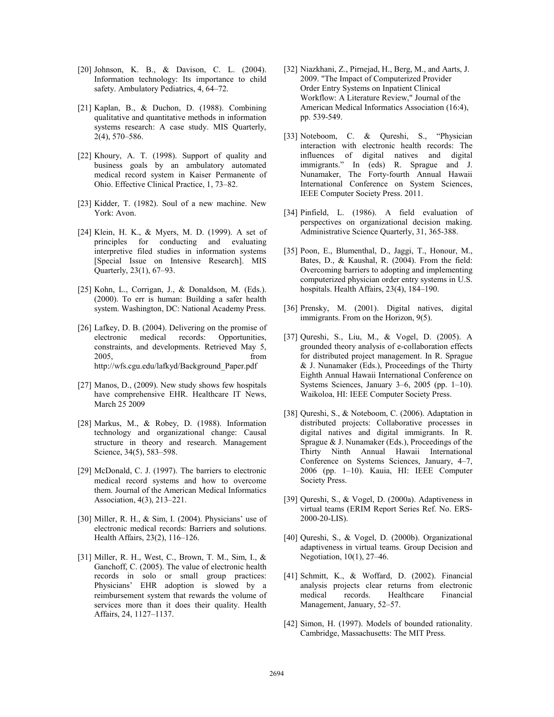- [20] Johnson, K. B., & Davison, C. L. (2004). Information technology: Its importance to child safety. Ambulatory Pediatrics, 4, 64–72.
- [21] Kaplan, B., & Duchon, D. (1988). Combining qualitative and quantitative methods in information systems research: A case study. MIS Quarterly, 2(4), 570–586.
- [22] Khoury, A. T. (1998). Support of quality and business goals by an ambulatory automated medical record system in Kaiser Permanente of Ohio. Effective Clinical Practice, 1, 73–82.
- [23] Kidder, T. (1982). Soul of a new machine. New York: Avon.
- [24] Klein, H. K., & Myers, M. D. (1999). A set of principles for conducting and evaluating interpretive filed studies in information systems [Special Issue on Intensive Research]. MIS Quarterly, 23(1), 67–93.
- [25] Kohn, L., Corrigan, J., & Donaldson, M. (Eds.). (2000). To err is human: Building a safer health system. Washington, DC: National Academy Press.
- [26] Lafkey, D. B. (2004). Delivering on the promise of electronic medical records: Opportunities, constraints, and developments. Retrieved May 5, 2005, from http://wfs.cgu.edu/lafkyd/Background\_Paper.pdf
- [27] Manos, D., (2009). New study shows few hospitals have comprehensive EHR. Healthcare IT News, March 25 2009
- [28] Markus, M., & Robey, D. (1988). Information technology and organizational change: Causal structure in theory and research. Management Science, 34(5), 583–598.
- [29] McDonald, C. J. (1997). The barriers to electronic medical record systems and how to overcome them. Journal of the American Medical Informatics Association, 4(3), 213–221.
- [30] Miller, R. H., & Sim, I. (2004). Physicians' use of electronic medical records: Barriers and solutions. Health Affairs, 23(2), 116–126.
- [31] Miller, R. H., West, C., Brown, T. M., Sim, I., & Ganchoff, C. (2005). The value of electronic health records in solo or small group practices: Physicians' EHR adoption is slowed by a reimbursement system that rewards the volume of services more than it does their quality. Health Affairs, 24, 1127–1137.
- [32] Niazkhani, Z., Pirnejad, H., Berg, M., and Aarts, J. 2009. "The Impact of Computerized Provider Order Entry Systems on Inpatient Clinical Workflow: A Literature Review," Journal of the American Medical Informatics Association (16:4), pp. 539-549.
- [33] Noteboom, C. & Qureshi, S., "Physician interaction with electronic health records: The influences of digital natives and digital immigrants." In (eds) R. Sprague and J. Nunamaker, The Forty-fourth Annual Hawaii International Conference on System Sciences, IEEE Computer Society Press. 2011.
- [34] Pinfield, L. (1986). A field evaluation of perspectives on organizational decision making. Administrative Science Quarterly, 31, 365-388.
- [35] Poon, E., Blumenthal, D., Jaggi, T., Honour, M., Bates, D., & Kaushal, R. (2004). From the field: Overcoming barriers to adopting and implementing computerized physician order entry systems in U.S. hospitals. Health Affairs, 23(4), 184-190.
- [36] Prensky, M. (2001). Digital natives, digital immigrants. From on the Horizon, 9(5).
- [37] Qureshi, S., Liu, M., & Vogel, D. (2005). A grounded theory analysis of e-collaboration effects for distributed project management. In R. Sprague & J. Nunamaker (Eds.), Proceedings of the Thirty Eighth Annual Hawaii International Conference on Systems Sciences, January 3–6, 2005 (pp. 1–10). Waikoloa, HI: IEEE Computer Society Press.
- [38] Qureshi, S., & Noteboom, C. (2006). Adaptation in distributed projects: Collaborative processes in digital natives and digital immigrants. In R. Sprague & J. Nunamaker (Eds.), Proceedings of the Thirty Ninth Annual Hawaii International Conference on Systems Sciences, January, 4–7, 2006 (pp. 1–10). Kauia, HI: IEEE Computer Society Press.
- [39] Qureshi, S., & Vogel, D. (2000a). Adaptiveness in virtual teams (ERIM Report Series Ref. No. ERS-2000-20-LIS).
- [40] Qureshi, S., & Vogel, D. (2000b). Organizational adaptiveness in virtual teams. Group Decision and Negotiation, 10(1), 27–46.
- [41] Schmitt, K., & Woffard, D. (2002). Financial analysis projects clear returns from electronic medical records. Healthcare Financial Management, January, 52–57.
- [42] Simon, H. (1997). Models of bounded rationality. Cambridge, Massachusetts: The MIT Press.